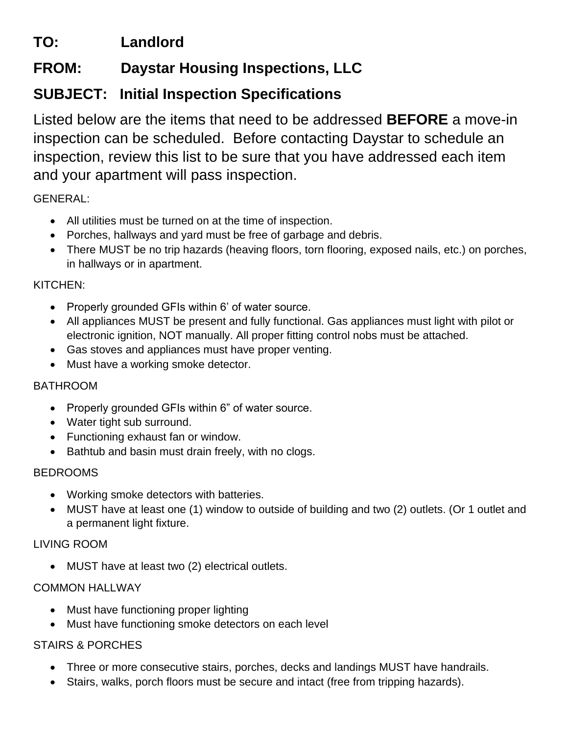# **TO: Landlord**

## **FROM: Daystar Housing Inspections, LLC**

## **SUBJECT: Initial Inspection Specifications**

Listed below are the items that need to be addressed **BEFORE** a move-in inspection can be scheduled. Before contacting Daystar to schedule an inspection, review this list to be sure that you have addressed each item and your apartment will pass inspection.

GENERAL:

- All utilities must be turned on at the time of inspection.
- Porches, hallways and yard must be free of garbage and debris.
- There MUST be no trip hazards (heaving floors, torn flooring, exposed nails, etc.) on porches, in hallways or in apartment.

#### KITCHEN:

- Properly grounded GFIs within 6' of water source.
- All appliances MUST be present and fully functional. Gas appliances must light with pilot or electronic ignition, NOT manually. All proper fitting control nobs must be attached.
- Gas stoves and appliances must have proper venting.
- Must have a working smoke detector.

### BATHROOM

- Properly grounded GFIs within 6" of water source.
- Water tight sub surround.
- Functioning exhaust fan or window.
- Bathtub and basin must drain freely, with no clogs.

### BEDROOMS

- Working smoke detectors with batteries.
- MUST have at least one (1) window to outside of building and two (2) outlets. (Or 1 outlet and a permanent light fixture.

### LIVING ROOM

• MUST have at least two (2) electrical outlets.

### COMMON HALLWAY

- Must have functioning proper lighting
- Must have functioning smoke detectors on each level

### STAIRS & PORCHES

- Three or more consecutive stairs, porches, decks and landings MUST have handrails.
- Stairs, walks, porch floors must be secure and intact (free from tripping hazards).